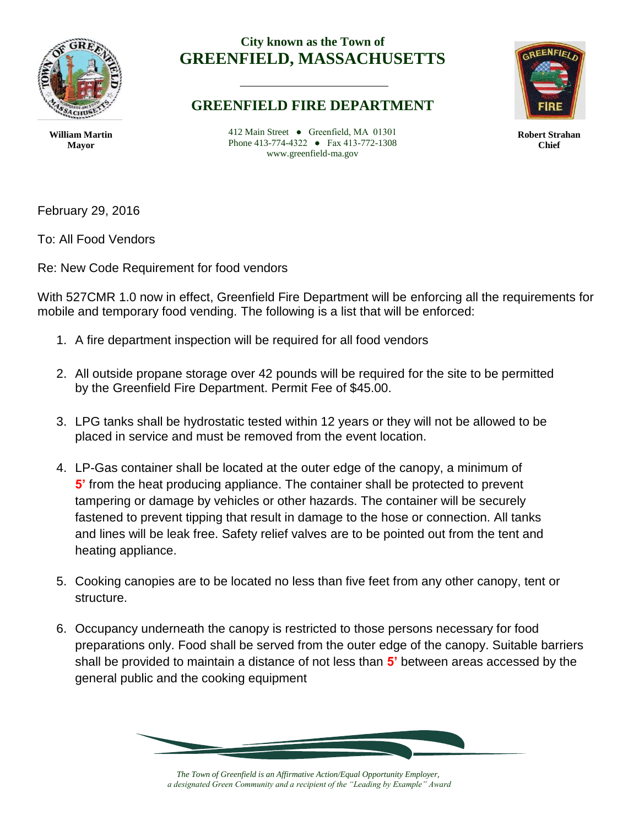

## **City known as the Town of GREENFIELD, MASSACHUSETTS**

**Robert Strahan Chief**

**William Martin Mayor**

412 Main Street ● Greenfield, MA 01301 Phone 413-774-4322 ● Fax 413-772-1308 www.greenfield-ma.gov

**GREENFIELD FIRE DEPARTMENT**

February 29, 2016

To: All Food Vendors

Re: New Code Requirement for food vendors

With 527CMR 1.0 now in effect, Greenfield Fire Department will be enforcing all the requirements for mobile and temporary food vending. The following is a list that will be enforced:

- 1. A fire department inspection will be required for all food vendors
- 2. All outside propane storage over 42 pounds will be required for the site to be permitted by the Greenfield Fire Department. Permit Fee of \$45.00.
- 3. LPG tanks shall be hydrostatic tested within 12 years or they will not be allowed to be placed in service and must be removed from the event location.
- 4. LP-Gas container shall be located at the outer edge of the canopy, a minimum of **5'** from the heat producing appliance. The container shall be protected to prevent tampering or damage by vehicles or other hazards. The container will be securely fastened to prevent tipping that result in damage to the hose or connection. All tanks and lines will be leak free. Safety relief valves are to be pointed out from the tent and heating appliance.
- 5. Cooking canopies are to be located no less than five feet from any other canopy, tent or structure.
- 6. Occupancy underneath the canopy is restricted to those persons necessary for food preparations only. Food shall be served from the outer edge of the canopy. Suitable barriers shall be provided to maintain a distance of not less than **5'** between areas accessed by the general public and the cooking equipment



*The Town of Greenfield is an Affirmative Action/Equal Opportunity Employer, a designated Green Community and a recipient of the "Leading by Example" Award*